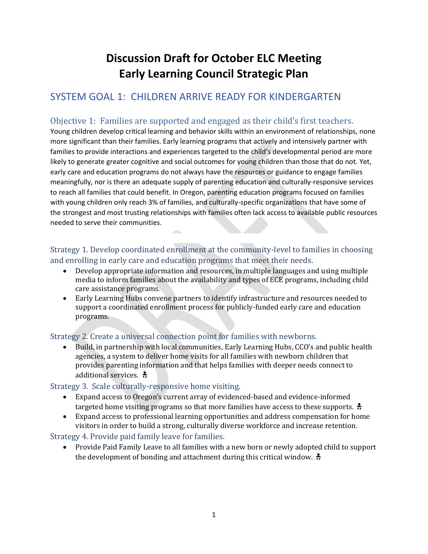# **Discussion Draft for October ELC Meeting Early Learning Council Strategic Plan**

# SYSTEM GOAL 1: CHILDREN ARRIVE READY FOR KINDERGARTEN

# Objective 1: Families are supported and engaged as their child's first teachers.

Young children develop critical learning and behavior skills within an environment of relationships, none more significant than their families. Early learning programs that actively and intensively partner with families to provide interactions and experiences targeted to the child's developmental period are more likely to generate greater cognitive and social outcomes for young children than those that do not. Yet, early care and education programs do not always have the resources or guidance to engage families meaningfully, nor is there an adequate supply of parenting education and culturally-responsive services to reach all families that could benefit. In Oregon, parenting education programs focused on families with young children only reach 3% of families, and culturally-specific organizations that have some of the strongest and most trusting relationships with families often lack access to available public resources needed to serve their communities.

### Strategy 1. Develop coordinated enrollment at the community-level to families in choosing and enrolling in early care and education programs that meet their needs.

- Develop appropriate information and resources, in multiple languages and using multiple media to inform families about the availability and types of ECE programs, including child care assistance programs.
- Early Learning Hubs convene partners to identify infrastructure and resources needed to support a coordinated enrollment process for publicly-funded early care and education programs.

### Strategy 2. Create a universal connection point for families with newborns.

 Build, in partnership with local communities, Early Learning Hubs, CCO's and public health agencies, a system to deliver home visits for all families with newborn children that provides parenting information and that helps families with deeper needs connect to additional services.  $\frac{2}{9}$ 

### Strategy 3. Scale culturally-responsive home visiting.

- Expand access to Oregon's current array of evidenced-based and evidence-informed targeted home visiting programs so that more families have access to these supports.
- Expand access to professional learning opportunities and address compensation for home visitors in order to build a strong, culturally diverse workforce and increase retention.

## Strategy 4. Provide paid family leave for families.

 Provide Paid Family Leave to all families with a new born or newly adopted child to support the development of bonding and attachment during this critical window.  $\frac{1}{2}$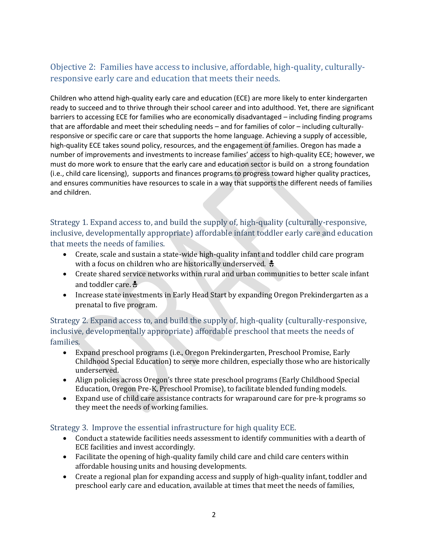# Objective 2: Families have access to inclusive, affordable, high-quality, culturallyresponsive early care and education that meets their needs.

Children who attend high-quality early care and education (ECE) are more likely to enter kindergarten ready to succeed and to thrive through their school career and into adulthood. Yet, there are significant barriers to accessing ECE for families who are economically disadvantaged – including finding programs that are affordable and meet their scheduling needs – and for families of color – including culturallyresponsive or specific care or care that supports the home language. Achieving a supply of accessible, high-quality ECE takes sound policy, resources, and the engagement of families. Oregon has made a number of improvements and investments to increase families' access to high-quality ECE; however, we must do more work to ensure that the early care and education sector is build on a strong foundation (i.e., child care licensing), supports and finances programs to progress toward higher quality practices, and ensures communities have resources to scale in a way that supports the different needs of families and children.

Strategy 1. Expand access to, and build the supply of, high-quality (culturally-responsive, inclusive, developmentally appropriate) affordable infant toddler early care and education that meets the needs of families.

- Create, scale and sustain a state-wide high-quality infant and toddler child care program with a focus on children who are historically underserved.  $\frac{1}{2}$
- Create shared service networks within rural and urban communities to better scale infant and toddler care.  $\frac{2}{\sqrt{2}}$
- Increase state investments in Early Head Start by expanding Oregon Prekindergarten as a prenatal to five program.

Strategy 2. Expand access to, and build the supply of, high-quality (culturally-responsive, inclusive, developmentally appropriate) affordable preschool that meets the needs of families.

- Expand preschool programs (i.e., Oregon Prekindergarten, Preschool Promise, Early Childhood Special Education) to serve more children, especially those who are historically underserved.
- Align policies across Oregon's three state preschool programs (Early Childhood Special Education, Oregon Pre-K, Preschool Promise), to facilitate blended funding models.
- Expand use of child care assistance contracts for wraparound care for pre-k programs so they meet the needs of working families.

### Strategy 3. Improve the essential infrastructure for high quality ECE.

- Conduct a statewide facilities needs assessment to identify communities with a dearth of ECE facilities and invest accordingly.
- Facilitate the opening of high-quality family child care and child care centers within affordable housing units and housing developments.
- Create a regional plan for expanding access and supply of high-quality infant, toddler and preschool early care and education, available at times that meet the needs of families,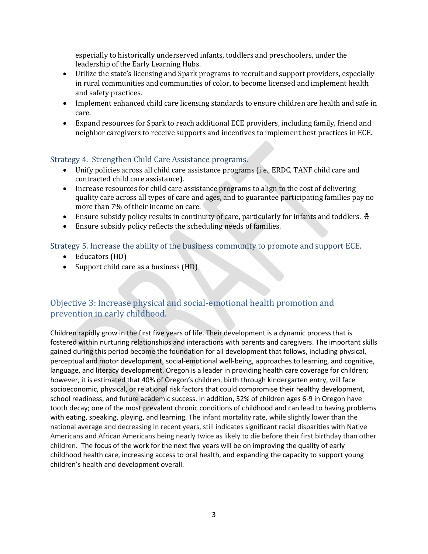especially to historically underserved infants, toddlers and preschoolers, under the leadership of the Early Learning Hubs.

- Utilize the state's licensing and Spark programs to recruit and support providers, especially in rural communities and communities of color, to become licensed and implement health and safety practices.
- Implement enhanced child care licensing standards to ensure children are health and safe in care.
- Expand resources for Spark to reach additional ECE providers, including family, friend and neighbor caregivers to receive supports and incentives to implement best practices in ECE.

### Strategy 4. Strengthen Child Care Assistance programs.

- Unify policies across all child care assistance programs (i.e., ERDC, TANF child care and contracted child care assistance).
- Increase resources for child care assistance programs to align to the cost of delivering quality care across all types of care and ages, and to guarantee participating families pay no more than 7% of their income on care.
- Ensure subsidy policy results in continuity of care, particularly for infants and toddlers.  $\div$
- Ensure subsidy policy reflects the scheduling needs of families.

Strategy 5. Increase the ability of the business community to promote and support ECE.

- Educators (HD)
- Support child care as a business (HD)

# Objective 3: Increase physical and social-emotional health promotion and prevention in early childhood.

Children rapidly grow in the first five years of life. Their development is a dynamic process that is fostered within nurturing relationships and interactions with parents and caregivers. The important skills gained during this period become the foundation for all development that follows, including physical, perceptual and motor development, social-emotional well-being, approaches to learning, and cognitive, language, and literacy development. Oregon is a leader in providing health care coverage for children; however, it is estimated that 40% of Oregon's children, birth through kindergarten entry, will face socioeconomic, physical, or relational risk factors that could compromise their healthy development, school readiness, and future academic success. In addition, 52% of children ages 6-9 in Oregon have tooth decay; one of the most prevalent chronic conditions of childhood and can lead to having problems with eating, speaking, playing, and learning. The infant mortality rate, while slightly lower than the national average and decreasing in recent years, still indicates significant racial disparities with Native Americans and African Americans being nearly twice as likely to die before their first birthday than other children. The focus of the work for the next five years will be on improving the quality of early childhood health care, increasing access to oral health, and expanding the capacity to support young children's health and development overall.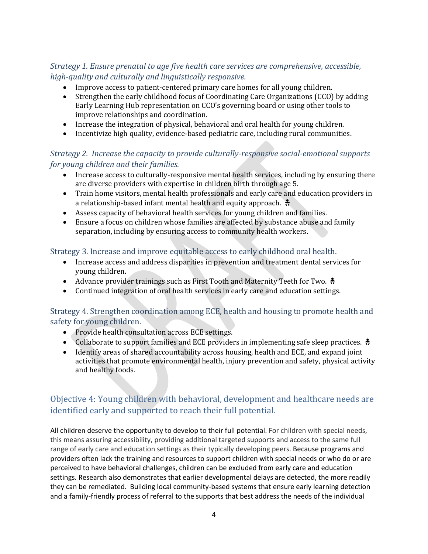## *Strategy 1. Ensure prenatal to age five health care services are comprehensive, accessible, high-quality and culturally and linguistically responsive.*

- Improve access to patient-centered primary care homes for all young children.
- Strengthen the early childhood focus of Coordinating Care Organizations (CCO) by adding Early Learning Hub representation on CCO's governing board or using other tools to improve relationships and coordination.
- Increase the integration of physical, behavioral and oral health for young children.
- Incentivize high quality, evidence-based pediatric care, including rural communities.

### *Strategy 2. Increase the capacity to provide culturally-responsive social-emotional supports for young children and their families.*

- Increase access to culturally-responsive mental health services, including by ensuring there are diverse providers with expertise in children birth through age 5.
- Train home visitors, mental health professionals and early care and education providers in a relationship-based infant mental health and equity approach.  $\frac{1}{2}$
- Assess capacity of behavioral health services for young children and families.
- Ensure a focus on children whose families are affected by substance abuse and family separation, including by ensuring access to community health workers.

### Strategy 3. Increase and improve equitable access to early childhood oral health.

- Increase access and address disparities in prevention and treatment dental services for young children.
- Advance provider trainings such as First Tooth and Maternity Teeth for Two.  $\frac{1}{2}$
- Continued integration of oral health services in early care and education settings.

### Strategy 4. Strengthen coordination among ECE, health and housing to promote health and safety for young children.

- Provide health consultation across ECE settings.
- Collaborate to support families and ECE providers in implementing safe sleep practices.  $\ddot{\cdot}$
- Identify areas of shared accountability across housing, health and ECE, and expand joint activities that promote environmental health, injury prevention and safety, physical activity and healthy foods.

# Objective 4: Young children with behavioral, development and healthcare needs are identified early and supported to reach their full potential.

All children deserve the opportunity to develop to their full potential. For children with special needs, this means assuring accessibility, providing additional targeted supports and access to the same full range of early care and education settings as their typically developing peers. Because programs and providers often lack the training and resources to support children with special needs or who do or are perceived to have behavioral challenges, children can be excluded from early care and education settings. Research also demonstrates that earlier developmental delays are detected, the more readily they can be remediated. Building local community-based systems that ensure early learning detection and a family-friendly process of referral to the supports that best address the needs of the individual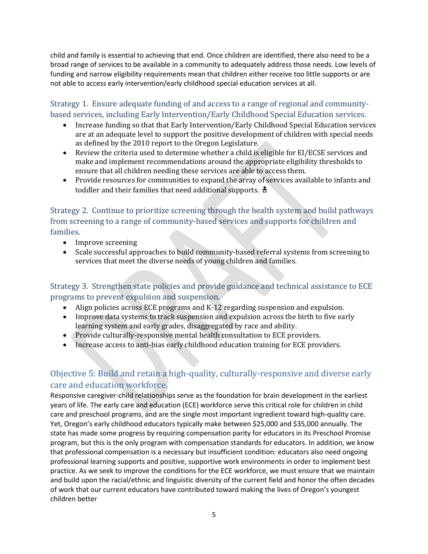child and family is essential to achieving that end. Once children are identified, there also need to be a broad range of services to be available in a community to adequately address those needs. Low levels of funding and narrow eligibility requirements mean that children either receive too little supports or are not able to access early intervention/early childhood special education services at all.

Strategy 1. Ensure adequate funding of and access to a range of regional and communitybased services, including Early Intervention/Early Childhood Special Education services.

- Increase funding so that that Early Intervention/Early Childhood Special Education services are at an adequate level to support the positive development of children with special needs as defined by the 2010 report to the Oregon Legislature.
- Review the criteria used to determine whether a child is eligible for EI/ECSE services and make and implement recommendations around the appropriate eligibility thresholds to ensure that all children needing these services are able to access them.
- Provide resources for communities to expand the array of services available to infants and toddler and their families that need additional supports.  $\ddot{\ddot{\cdot}}$

Strategy 2. Continue to prioritize screening through the health system and build pathways from screening to a range of community-based services and supports for children and families.

- Improve screening
- Scale successful approaches to build community-based referral systems from screening to services that meet the diverse needs of young children and families.

Strategy 3. Strengthen state policies and provide guidance and technical assistance to ECE programs to prevent expulsion and suspension.

- Align policies across ECE programs and K-12 regarding suspension and expulsion.
- Improve data systems to track suspension and expulsion across the birth to five early learning system and early grades, disaggregated by race and ability.
- Provide culturally-responsive mental health consultation to ECE providers.
- Increase access to anti-bias early childhood education training for ECE providers.

# Objective 5: Build and retain a high-quality, culturally-responsive and diverse early care and education workforce.

Responsive caregiver-child relationships serve as the foundation for brain development in the earliest years of life. The early care and education (ECE) workforce serve this critical role for children in child care and preschool programs, and are the single most important ingredient toward high-quality care. Yet, Oregon's early childhood educators typically make between \$25,000 and \$35,000 annually. The state has made some progress by requiring compensation parity for educators in its Preschool Promise program, but this is the only program with compensation standards for educators. In addition, we know that professional compensation is a necessary but insufficient condition: educators also need ongoing professional learning supports and positive, supportive work environments in order to implement best practice. As we seek to improve the conditions for the ECE workforce, we must ensure that we maintain and build upon the racial/ethnic and linguistic diversity of the current field and honor the often decades of work that our current educators have contributed toward making the lives of Oregon's youngest children better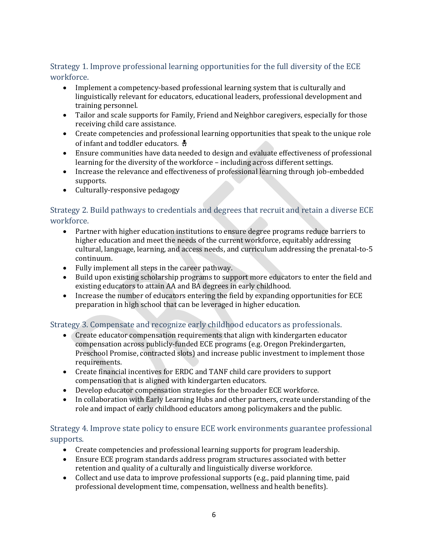### Strategy 1. Improve professional learning opportunities for the full diversity of the ECE workforce.

- Implement a competency-based professional learning system that is culturally and linguistically relevant for educators, educational leaders, professional development and training personnel.
- Tailor and scale supports for Family, Friend and Neighbor caregivers, especially for those receiving child care assistance.
- Create competencies and professional learning opportunities that speak to the unique role of infant and toddler educators.  $\frac{4}{9}$
- Ensure communities have data needed to design and evaluate effectiveness of professional learning for the diversity of the workforce – including across different settings.
- Increase the relevance and effectiveness of professional learning through job-embedded supports.
- Culturally-responsive pedagogy

## Strategy 2. Build pathways to credentials and degrees that recruit and retain a diverse ECE workforce.

- Partner with higher education institutions to ensure degree programs reduce barriers to higher education and meet the needs of the current workforce, equitably addressing cultural, language, learning, and access needs, and curriculum addressing the prenatal-to-5 continuum.
- Fully implement all steps in the career pathway.
- Build upon existing scholarship programs to support more educators to enter the field and existing educators to attain AA and BA degrees in early childhood.
- Increase the number of educators entering the field by expanding opportunities for ECE preparation in high school that can be leveraged in higher education.

## Strategy 3. Compensate and recognize early childhood educators as professionals.

- Create educator compensation requirements that align with kindergarten educator compensation across publicly-funded ECE programs (e.g. Oregon Prekindergarten, Preschool Promise, contracted slots) and increase public investment to implement those requirements.
- Create financial incentives for ERDC and TANF child care providers to support compensation that is aligned with kindergarten educators.
- Develop educator compensation strategies for the broader ECE workforce.
- In collaboration with Early Learning Hubs and other partners, create understanding of the role and impact of early childhood educators among policymakers and the public.

## Strategy 4. Improve state policy to ensure ECE work environments guarantee professional supports.

- Create competencies and professional learning supports for program leadership.
- Ensure ECE program standards address program structures associated with better retention and quality of a culturally and linguistically diverse workforce.
- Collect and use data to improve professional supports (e.g., paid planning time, paid professional development time, compensation, wellness and health benefits).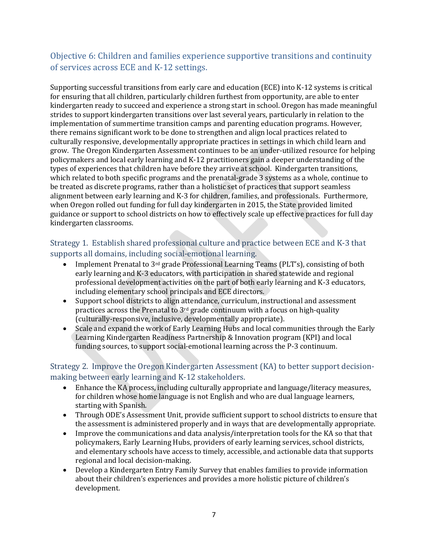# Objective 6: Children and families experience supportive transitions and continuity of services across ECE and K-12 settings.

Supporting successful transitions from early care and education (ECE) into K-12 systems is critical for ensuring that all children, particularly children furthest from opportunity, are able to enter kindergarten ready to succeed and experience a strong start in school. Oregon has made meaningful strides to support kindergarten transitions over last several years, particularly in relation to the implementation of summertime transition camps and parenting education programs. However, there remains significant work to be done to strengthen and align local practices related to culturally responsive, developmentally appropriate practices in settings in which child learn and grow. The Oregon Kindergarten Assessment continues to be an under-utilized resource for helping policymakers and local early learning and K-12 practitioners gain a deeper understanding of the types of experiences that children have before they arrive at school. Kindergarten transitions, which related to both specific programs and the prenatal-grade 3 systems as a whole, continue to be treated as discrete programs, rather than a holistic set of practices that support seamless alignment between early learning and K-3 for children, families, and professionals. Furthermore, when Oregon rolled out funding for full day kindergarten in 2015, the State provided limited guidance or support to school districts on how to effectively scale up effective practices for full day kindergarten classrooms.

### Strategy 1. Establish shared professional culture and practice between ECE and K-3 that supports all domains, including social-emotional learning.

- Implement Prenatal to 3rd grade Professional Learning Teams (PLT's), consisting of both early learning and K-3 educators, with participation in shared statewide and regional professional development activities on the part of both early learning and K-3 educators, including elementary school principals and ECE directors.
- Support school districts to align attendance, curriculum, instructional and assessment practices across the Prenatal to  $3<sup>rd</sup>$  grade continuum with a focus on high-quality (culturally-responsive, inclusive, developmentally appropriate).
- Scale and expand the work of Early Learning Hubs and local communities through the Early Learning Kindergarten Readiness Partnership & Innovation program (KPI) and local funding sources, to support social-emotional learning across the P-3 continuum.

## Strategy 2. Improve the Oregon Kindergarten Assessment (KA) to better support decisionmaking between early learning and K-12 stakeholders.

- Enhance the KA process, including culturally appropriate and language/literacy measures, for children whose home language is not English and who are dual language learners, starting with Spanish.
- Through ODE's Assessment Unit, provide sufficient support to school districts to ensure that the assessment is administered properly and in ways that are developmentally appropriate.
- Improve the communications and data analysis/interpretation tools for the KA so that that policymakers, Early Learning Hubs, providers of early learning services, school districts, and elementary schools have access to timely, accessible, and actionable data that supports regional and local decision-making.
- Develop a Kindergarten Entry Family Survey that enables families to provide information about their children's experiences and provides a more holistic picture of children's development.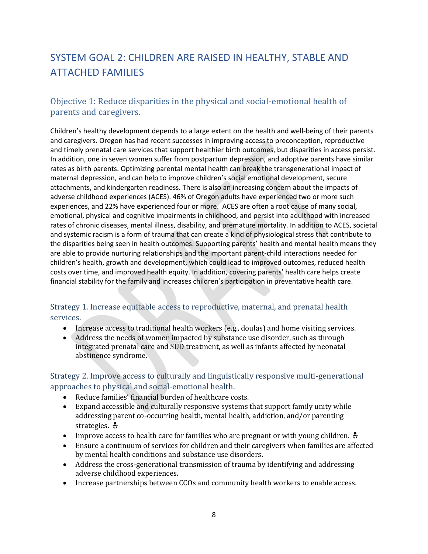# SYSTEM GOAL 2: CHILDREN ARE RAISED IN HEALTHY, STABLE AND ATTACHED FAMILIES

# Objective 1: Reduce disparities in the physical and social-emotional health of parents and caregivers.

Children's healthy development depends to a large extent on the health and well-being of their parents and caregivers. Oregon has had recent successes in improving access to preconception, reproductive and timely prenatal care services that support healthier birth outcomes, but disparities in access persist. In addition, one in seven women suffer from postpartum depression, and adoptive parents have similar rates as birth parents. Optimizing parental mental health can break the transgenerational impact of maternal depression, and can help to improve children's social emotional development, secure attachments, and kindergarten readiness. There is also an increasing concern about the impacts of adverse childhood experiences (ACES). 46% of Oregon adults have experienced two or more such experiences, and 22% have experienced four or more. ACES are often a root cause of many social, emotional, physical and cognitive impairments in childhood, and persist into adulthood with increased rates of chronic diseases, mental illness, disability, and premature mortality. In addition to ACES, societal and systemic racism is a form of trauma that can create a kind of physiological stress that contribute to the disparities being seen in health outcomes. Supporting parents' health and mental health means they are able to provide nurturing relationships and the important parent-child interactions needed for children's health, growth and development, which could lead to improved outcomes, reduced health costs over time, and improved health equity. In addition, covering parents' health care helps create financial stability for the family and increases children's participation in preventative health care.

## Strategy 1. Increase equitable access to reproductive, maternal, and prenatal health services.

- Increase access to traditional health workers (e.g., doulas) and home visiting services.
- Address the needs of women impacted by substance use disorder, such as through integrated prenatal care and SUD treatment, as well as infants affected by neonatal abstinence syndrome.

Strategy 2. Improve access to culturally and linguistically responsive multi-generational approaches to physical and social-emotional health.

- Reduce families' financial burden of healthcare costs.
- Expand accessible and culturally responsive systems that support family unity while addressing parent co-occurring health, mental health, addiction, and/or parenting strategies.  $\frac{1}{2}$
- Improve access to health care for families who are pregnant or with young children.
- Ensure a continuum of services for children and their caregivers when families are affected by mental health conditions and substance use disorders.
- Address the cross-generational transmission of trauma by identifying and addressing adverse childhood experiences.
- Increase partnerships between CCOs and community health workers to enable access.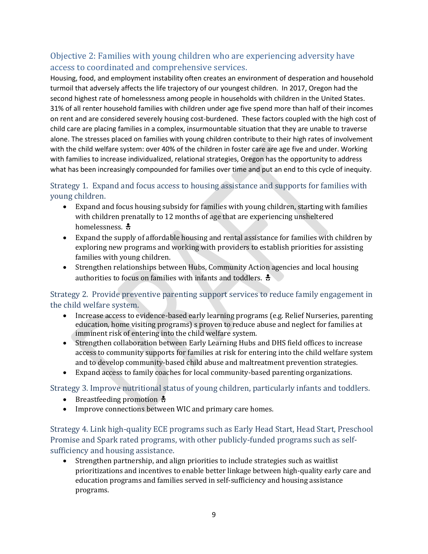# Objective 2: Families with young children who are experiencing adversity have access to coordinated and comprehensive services.

Housing, food, and employment instability often creates an environment of desperation and household turmoil that adversely affects the life trajectory of our youngest children. In 2017, Oregon had the second highest rate of homelessness among people in households with children in the United States. 31% of all renter household families with children under age five spend more than half of their incomes on rent and are considered severely housing cost-burdened. These factors coupled with the high cost of child care are placing families in a complex, insurmountable situation that they are unable to traverse alone. The stresses placed on families with young children contribute to their high rates of involvement with the child welfare system: over 40% of the children in foster care are age five and under. Working with families to increase individualized, relational strategies, Oregon has the opportunity to address what has been increasingly compounded for families over time and put an end to this cycle of inequity.

## Strategy 1. Expand and focus access to housing assistance and supports for families with young children.

- Expand and focus housing subsidy for families with young children, starting with families with children prenatally to 12 months of age that are experiencing unsheltered homelessness.  $\frac{1}{2}$
- Expand the supply of affordable housing and rental assistance for families with children by exploring new programs and working with providers to establish priorities for assisting families with young children.
- Strengthen relationships between Hubs, Community Action agencies and local housing authorities to focus on families with infants and toddlers.  $\ddot{\ddot{\cdot}}$

## Strategy 2. Provide preventive parenting support services to reduce family engagement in the child welfare system.

- Increase access to evidence-based early learning programs (e.g. Relief Nurseries, parenting education, home visiting programs) s proven to reduce abuse and neglect for families at imminent risk of entering into the child welfare system.
- Strengthen collaboration between Early Learning Hubs and DHS field offices to increase access to community supports for families at risk for entering into the child welfare system and to develop community-based child abuse and maltreatment prevention strategies.
- Expand access to family coaches for local community-based parenting organizations.

Strategy 3. Improve nutritional status of young children, particularly infants and toddlers.

- Breastfeeding promotion  $\frac{1}{2}$
- Improve connections between WIC and primary care homes.

Strategy 4. Link high-quality ECE programs such as Early Head Start, Head Start, Preschool Promise and Spark rated programs, with other publicly-funded programs such as selfsufficiency and housing assistance.

 Strengthen partnership, and align priorities to include strategies such as waitlist prioritizations and incentives to enable better linkage between high-quality early care and education programs and families served in self-sufficiency and housing assistance programs.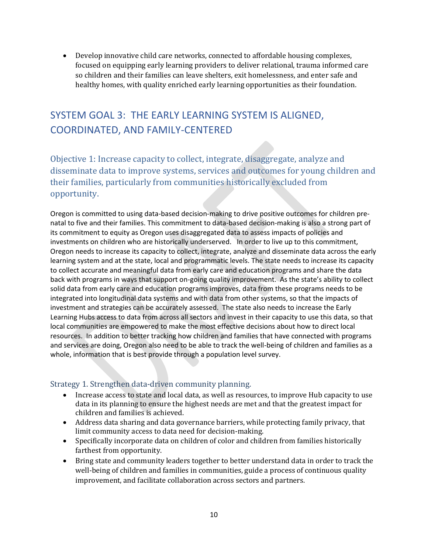Develop innovative child care networks, connected to affordable housing complexes, focused on equipping early learning providers to deliver relational, trauma informed care so children and their families can leave shelters, exit homelessness, and enter safe and healthy homes, with quality enriched early learning opportunities as their foundation.

# SYSTEM GOAL 3: THE EARLY LEARNING SYSTEM IS ALIGNED, COORDINATED, AND FAMILY-CENTERED

Objective 1: Increase capacity to collect, integrate, disaggregate, analyze and disseminate data to improve systems, services and outcomes for young children and their families, particularly from communities historically excluded from opportunity.

Oregon is committed to using data-based decision-making to drive positive outcomes for children prenatal to five and their families. This commitment to data-based decision-making is also a strong part of its commitment to equity as Oregon uses disaggregated data to assess impacts of policies and investments on children who are historically underserved. In order to live up to this commitment, Oregon needs to increase its capacity to collect, integrate, analyze and disseminate data across the early learning system and at the state, local and programmatic levels. The state needs to increase its capacity to collect accurate and meaningful data from early care and education programs and share the data back with programs in ways that support on-going quality improvement. As the state's ability to collect solid data from early care and education programs improves, data from these programs needs to be integrated into longitudinal data systems and with data from other systems, so that the impacts of investment and strategies can be accurately assessed. The state also needs to increase the Early Learning Hubs access to data from across all sectors and invest in their capacity to use this data, so that local communities are empowered to make the most effective decisions about how to direct local resources. In addition to better tracking how children and families that have connected with programs and services are doing, Oregon also need to be able to track the well-being of children and families as a whole, information that is best provide through a population level survey.

### Strategy 1. Strengthen data-driven community planning.

- Increase access to state and local data, as well as resources, to improve Hub capacity to use data in its planning to ensure the highest needs are met and that the greatest impact for children and families is achieved.
- Address data sharing and data governance barriers, while protecting family privacy, that limit community access to data need for decision-making.
- Specifically incorporate data on children of color and children from families historically farthest from opportunity.
- Bring state and community leaders together to better understand data in order to track the well-being of children and families in communities, guide a process of continuous quality improvement, and facilitate collaboration across sectors and partners.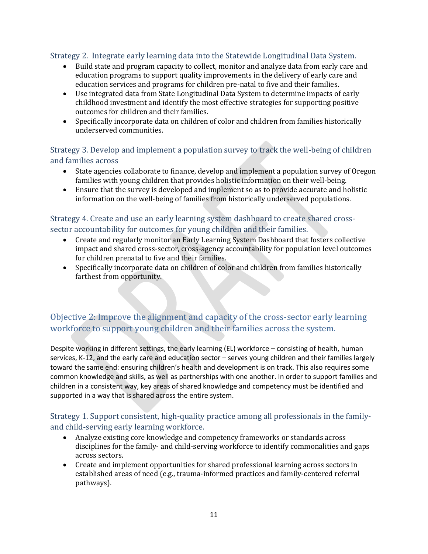### Strategy 2. Integrate early learning data into the Statewide Longitudinal Data System.

- Build state and program capacity to collect, monitor and analyze data from early care and education programs to support quality improvements in the delivery of early care and education services and programs for children pre-natal to five and their families.
- Use integrated data from State Longitudinal Data System to determine impacts of early childhood investment and identify the most effective strategies for supporting positive outcomes for children and their families.
- Specifically incorporate data on children of color and children from families historically underserved communities.

## Strategy 3. Develop and implement a population survey to track the well-being of children and families across

- State agencies collaborate to finance, develop and implement a population survey of Oregon families with young children that provides holistic information on their well-being.
- Ensure that the survey is developed and implement so as to provide accurate and holistic information on the well-being of families from historically underserved populations.

### Strategy 4. Create and use an early learning system dashboard to create shared crosssector accountability for outcomes for young children and their families.

- Create and regularly monitor an Early Learning System Dashboard that fosters collective impact and shared cross-sector, cross-agency accountability for population level outcomes for children prenatal to five and their families.
- Specifically incorporate data on children of color and children from families historically farthest from opportunity.

# Objective 2: Improve the alignment and capacity of the cross-sector early learning workforce to support young children and their families across the system.

Despite working in different settings, the early learning (EL) workforce – consisting of health, human services, K-12, and the early care and education sector – serves young children and their families largely toward the same end: ensuring children's health and development is on track. This also requires some common knowledge and skills, as well as partnerships with one another. In order to support families and children in a consistent way, key areas of shared knowledge and competency must be identified and supported in a way that is shared across the entire system.

### Strategy 1. Support consistent, high-quality practice among all professionals in the familyand child-serving early learning workforce.

- Analyze existing core knowledge and competency frameworks or standards across disciplines for the family- and child-serving workforce to identify commonalities and gaps across sectors.
- Create and implement opportunities for shared professional learning across sectors in established areas of need (e.g., trauma-informed practices and family-centered referral pathways).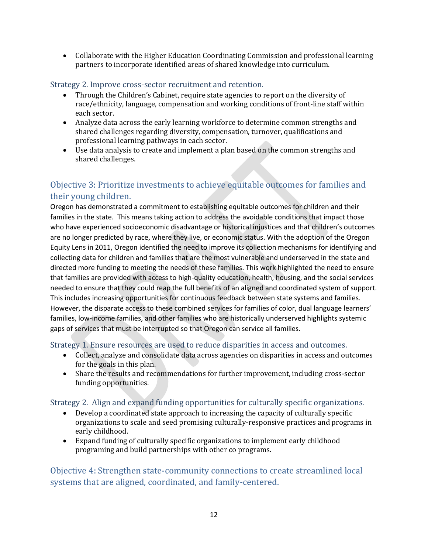Collaborate with the Higher Education Coordinating Commission and professional learning partners to incorporate identified areas of shared knowledge into curriculum.

#### Strategy 2. Improve cross-sector recruitment and retention.

- Through the Children's Cabinet, require state agencies to report on the diversity of race/ethnicity, language, compensation and working conditions of front-line staff within each sector.
- Analyze data across the early learning workforce to determine common strengths and shared challenges regarding diversity, compensation, turnover, qualifications and professional learning pathways in each sector.
- Use data analysis to create and implement a plan based on the common strengths and shared challenges.

# Objective 3: Prioritize investments to achieve equitable outcomes for families and their young children.

Oregon has demonstrated a commitment to establishing equitable outcomes for children and their families in the state. This means taking action to address the avoidable conditions that impact those who have experienced socioeconomic disadvantage or historical injustices and that children's outcomes are no longer predicted by race, where they live, or economic status. With the adoption of the Oregon Equity Lens in 2011, Oregon identified the need to improve its collection mechanisms for identifying and collecting data for children and families that are the most vulnerable and underserved in the state and directed more funding to meeting the needs of these families. This work highlighted the need to ensure that families are provided with access to high-quality education, health, housing, and the social services needed to ensure that they could reap the full benefits of an aligned and coordinated system of support. This includes increasing opportunities for continuous feedback between state systems and families. However, the disparate access to these combined services for families of color, dual language learners' families, low-income families, and other families who are historically underserved highlights systemic gaps of services that must be interrupted so that Oregon can service all families.

Strategy 1. Ensure resources are used to reduce disparities in access and outcomes.

- Collect, analyze and consolidate data across agencies on disparities in access and outcomes for the goals in this plan.
- Share the results and recommendations for further improvement, including cross-sector funding opportunities.

### Strategy 2. Align and expand funding opportunities for culturally specific organizations.

- Develop a coordinated state approach to increasing the capacity of culturally specific organizations to scale and seed promising culturally-responsive practices and programs in early childhood.
- Expand funding of culturally specific organizations to implement early childhood programing and build partnerships with other co programs.

## Objective 4: Strengthen state-community connections to create streamlined local systems that are aligned, coordinated, and family-centered.